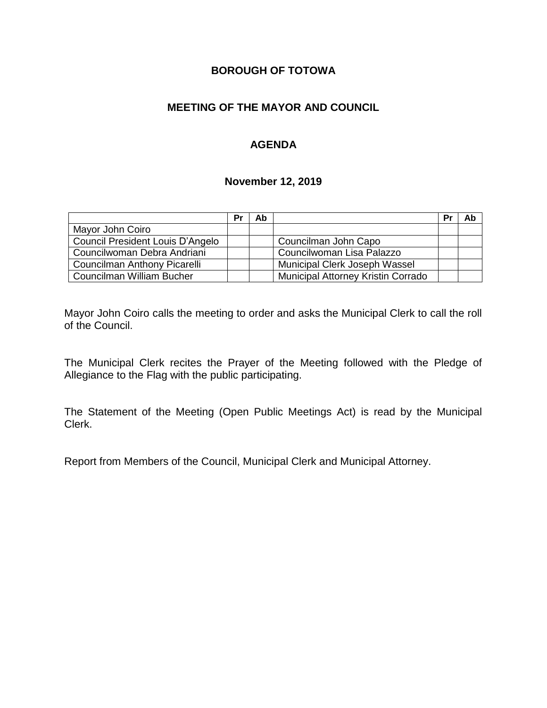## **BOROUGH OF TOTOWA**

## **MEETING OF THE MAYOR AND COUNCIL**

### **AGENDA**

#### **November 12, 2019**

|                                  | Pr | Ab |                                    | Pr | Ab |
|----------------------------------|----|----|------------------------------------|----|----|
| Mayor John Coiro                 |    |    |                                    |    |    |
| Council President Louis D'Angelo |    |    | Councilman John Capo               |    |    |
| Councilwoman Debra Andriani      |    |    | Councilwoman Lisa Palazzo          |    |    |
| Councilman Anthony Picarelli     |    |    | Municipal Clerk Joseph Wassel      |    |    |
| Councilman William Bucher        |    |    | Municipal Attorney Kristin Corrado |    |    |

Mayor John Coiro calls the meeting to order and asks the Municipal Clerk to call the roll of the Council.

The Municipal Clerk recites the Prayer of the Meeting followed with the Pledge of Allegiance to the Flag with the public participating.

The Statement of the Meeting (Open Public Meetings Act) is read by the Municipal Clerk.

Report from Members of the Council, Municipal Clerk and Municipal Attorney.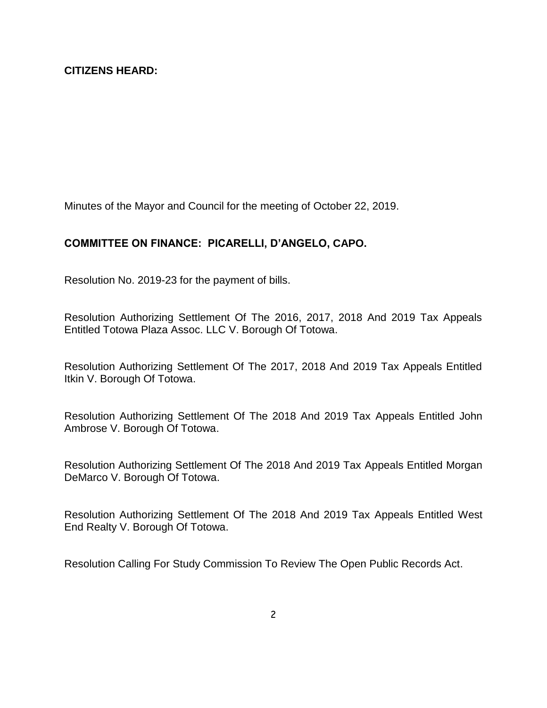Minutes of the Mayor and Council for the meeting of October 22, 2019.

# **COMMITTEE ON FINANCE: PICARELLI, D'ANGELO, CAPO.**

Resolution No. 2019-23 for the payment of bills.

Resolution Authorizing Settlement Of The 2016, 2017, 2018 And 2019 Tax Appeals Entitled Totowa Plaza Assoc. LLC V. Borough Of Totowa.

Resolution Authorizing Settlement Of The 2017, 2018 And 2019 Tax Appeals Entitled Itkin V. Borough Of Totowa.

Resolution Authorizing Settlement Of The 2018 And 2019 Tax Appeals Entitled John Ambrose V. Borough Of Totowa.

Resolution Authorizing Settlement Of The 2018 And 2019 Tax Appeals Entitled Morgan DeMarco V. Borough Of Totowa.

Resolution Authorizing Settlement Of The 2018 And 2019 Tax Appeals Entitled West End Realty V. Borough Of Totowa.

Resolution Calling For Study Commission To Review The Open Public Records Act.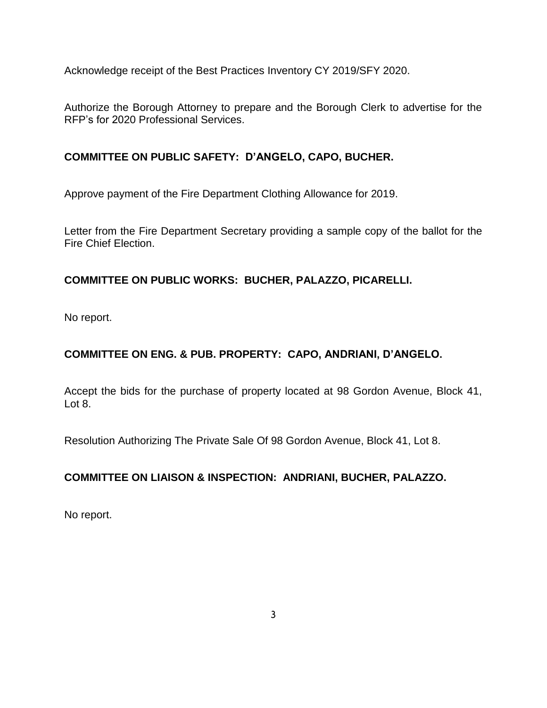Acknowledge receipt of the Best Practices Inventory CY 2019/SFY 2020.

Authorize the Borough Attorney to prepare and the Borough Clerk to advertise for the RFP's for 2020 Professional Services.

# **COMMITTEE ON PUBLIC SAFETY: D'ANGELO, CAPO, BUCHER.**

Approve payment of the Fire Department Clothing Allowance for 2019.

Letter from the Fire Department Secretary providing a sample copy of the ballot for the Fire Chief Election.

# **COMMITTEE ON PUBLIC WORKS: BUCHER, PALAZZO, PICARELLI.**

No report.

# **COMMITTEE ON ENG. & PUB. PROPERTY: CAPO, ANDRIANI, D'ANGELO.**

Accept the bids for the purchase of property located at 98 Gordon Avenue, Block 41, Lot 8.

Resolution Authorizing The Private Sale Of 98 Gordon Avenue, Block 41, Lot 8.

# **COMMITTEE ON LIAISON & INSPECTION: ANDRIANI, BUCHER, PALAZZO.**

No report.